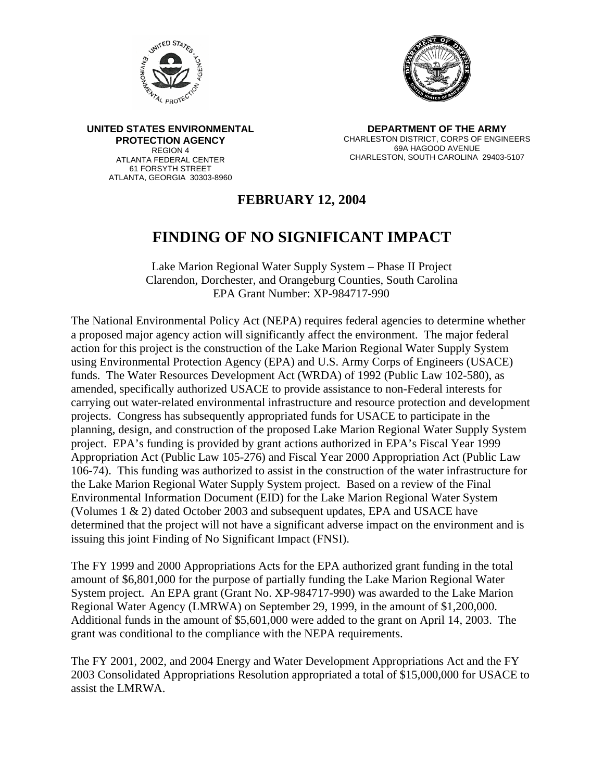



**UNITED STATES ENVIRONMENTAL PROTECTION AGENCY** REGION 4 ATLANTA FEDERAL CENTER 61 FORSYTH STREET ATLANTA, GEORGIA 30303-8960

**DEPARTMENT OF THE ARMY**  CHARLESTON DISTRICT, CORPS OF ENGINEERS 69A HAGOOD AVENUE CHARLESTON, SOUTH CAROLINA 29403-5107

## **FEBRUARY 12, 2004**

## **FINDING OF NO SIGNIFICANT IMPACT**

Lake Marion Regional Water Supply System – Phase II Project Clarendon, Dorchester, and Orangeburg Counties, South Carolina EPA Grant Number: XP-984717-990

The National Environmental Policy Act (NEPA) requires federal agencies to determine whether a proposed major agency action will significantly affect the environment. The major federal action for this project is the construction of the Lake Marion Regional Water Supply System using Environmental Protection Agency (EPA) and U.S. Army Corps of Engineers (USACE) funds. The Water Resources Development Act (WRDA) of 1992 (Public Law 102-580), as amended, specifically authorized USACE to provide assistance to non-Federal interests for carrying out water-related environmental infrastructure and resource protection and development projects. Congress has subsequently appropriated funds for USACE to participate in the planning, design, and construction of the proposed Lake Marion Regional Water Supply System project. EPA's funding is provided by grant actions authorized in EPA's Fiscal Year 1999 Appropriation Act (Public Law 105-276) and Fiscal Year 2000 Appropriation Act (Public Law 106-74). This funding was authorized to assist in the construction of the water infrastructure for the Lake Marion Regional Water Supply System project. Based on a review of the Final Environmental Information Document (EID) for the Lake Marion Regional Water System (Volumes 1 & 2) dated October 2003 and subsequent updates, EPA and USACE have determined that the project will not have a significant adverse impact on the environment and is issuing this joint Finding of No Significant Impact (FNSI).

The FY 1999 and 2000 Appropriations Acts for the EPA authorized grant funding in the total amount of \$6,801,000 for the purpose of partially funding the Lake Marion Regional Water System project. An EPA grant (Grant No. XP-984717-990) was awarded to the Lake Marion Regional Water Agency (LMRWA) on September 29, 1999, in the amount of \$1,200,000. Additional funds in the amount of \$5,601,000 were added to the grant on April 14, 2003. The grant was conditional to the compliance with the NEPA requirements.

The FY 2001, 2002, and 2004 Energy and Water Development Appropriations Act and the FY 2003 Consolidated Appropriations Resolution appropriated a total of \$15,000,000 for USACE to assist the LMRWA.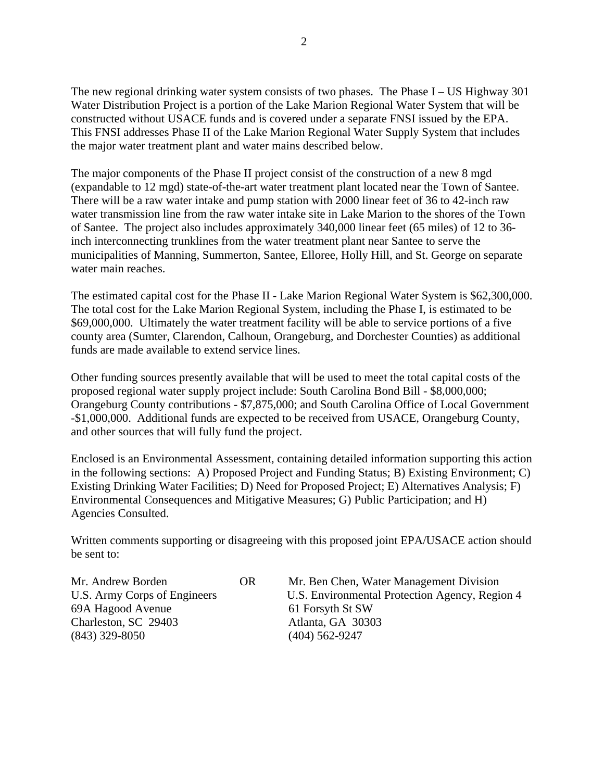The new regional drinking water system consists of two phases. The Phase I – US Highway 301 Water Distribution Project is a portion of the Lake Marion Regional Water System that will be constructed without USACE funds and is covered under a separate FNSI issued by the EPA. This FNSI addresses Phase II of the Lake Marion Regional Water Supply System that includes the major water treatment plant and water mains described below.

The major components of the Phase II project consist of the construction of a new 8 mgd (expandable to 12 mgd) state-of-the-art water treatment plant located near the Town of Santee. There will be a raw water intake and pump station with 2000 linear feet of 36 to 42-inch raw water transmission line from the raw water intake site in Lake Marion to the shores of the Town of Santee. The project also includes approximately 340,000 linear feet (65 miles) of 12 to 36 inch interconnecting trunklines from the water treatment plant near Santee to serve the municipalities of Manning, Summerton, Santee, Elloree, Holly Hill, and St. George on separate water main reaches.

The estimated capital cost for the Phase II - Lake Marion Regional Water System is \$62,300,000. The total cost for the Lake Marion Regional System, including the Phase I, is estimated to be \$69,000,000. Ultimately the water treatment facility will be able to service portions of a five county area (Sumter, Clarendon, Calhoun, Orangeburg, and Dorchester Counties) as additional funds are made available to extend service lines.

Other funding sources presently available that will be used to meet the total capital costs of the proposed regional water supply project include: South Carolina Bond Bill - \$8,000,000; Orangeburg County contributions - \$7,875,000; and South Carolina Office of Local Government -\$1,000,000. Additional funds are expected to be received from USACE, Orangeburg County, and other sources that will fully fund the project.

Enclosed is an Environmental Assessment, containing detailed information supporting this action in the following sections: A) Proposed Project and Funding Status; B) Existing Environment; C) Existing Drinking Water Facilities; D) Need for Proposed Project; E) Alternatives Analysis; F) Environmental Consequences and Mitigative Measures; G) Public Participation; and H) Agencies Consulted.

Written comments supporting or disagreeing with this proposed joint EPA/USACE action should be sent to:

69A Hagood Avenue 61 Forsyth St SW Charleston, SC 29403 Atlanta, GA 30303 (843) 329-8050 (404) 562-9247

Mr. Andrew Borden OR Mr. Ben Chen, Water Management Division U.S. Army Corps of Engineers U.S. Environmental Protection Agency, Region 4